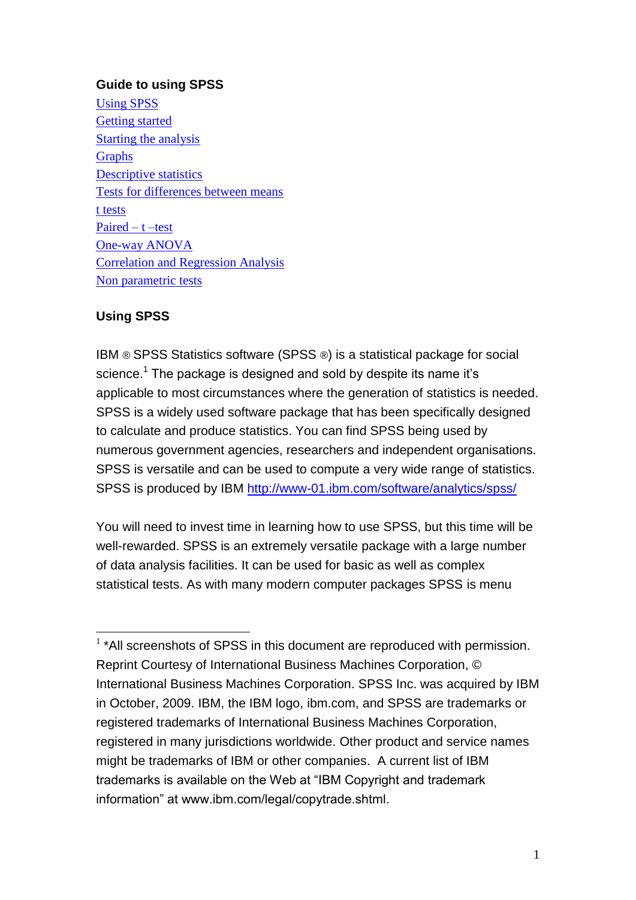### **Guide to using SPSS**

[Using SPSS](#page-1-0) [Getting started](#page-1-0) [Starting the analysis](#page-1-0) **[Graphs](#page-3-0)** [Descriptive statistics](#page-5-0) [Tests for differences between means](#page-7-0) [t tests](#page-7-0) [Paired –](#page-9-0) t –test [One-way ANOVA](#page-9-0) [Correlation and Regression Analysis](#page-10-0) [Non parametric tests](#page-12-0)

## **Using SPSS**

1

IBM ® SPSS Statistics software (SPSS ®) is a statistical package for social science.<sup>1</sup> The package is designed and sold by despite its name it's applicable to most circumstances where the generation of statistics is needed. SPSS is a widely used software package that has been specifically designed to calculate and produce statistics. You can find SPSS being used by numerous government agencies, researchers and independent organisations. SPSS is versatile and can be used to compute a very wide range of statistics. SPSS is produced by IBM<http://www-01.ibm.com/software/analytics/spss/>

You will need to invest time in learning how to use SPSS, but this time will be well-rewarded. SPSS is an extremely versatile package with a large number of data analysis facilities. It can be used for basic as well as complex statistical tests. As with many modern computer packages SPSS is menu

<sup>&</sup>lt;sup>1</sup> \*All screenshots of SPSS in this document are reproduced with permission. Reprint Courtesy of International Business Machines Corporation, © International Business Machines Corporation. SPSS Inc. was acquired by IBM in October, 2009. IBM, the IBM logo, ibm.com, and SPSS are trademarks or registered trademarks of International Business Machines Corporation, registered in many jurisdictions worldwide. Other product and service names might be trademarks of IBM or other companies. A current list of IBM trademarks is available on the Web at "IBM Copyright and trademark information" at www.ibm.com/legal/copytrade.shtml.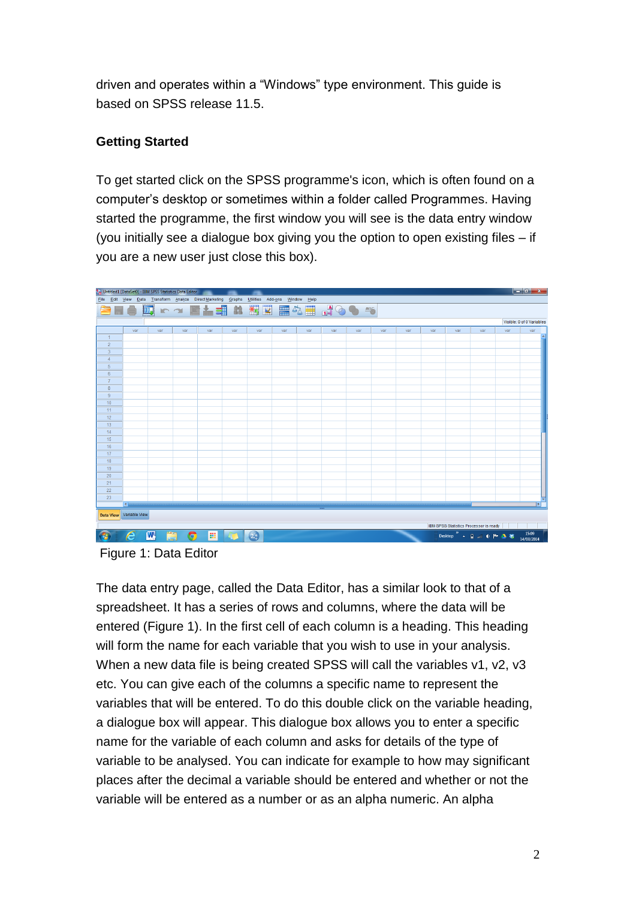driven and operates within a "Windows" type environment. This guide is based on SPSS release 11.5.

# <span id="page-1-0"></span>**Getting Started**

To get started click on the SPSS programme's icon, which is often found on a computer's desktop or sometimes within a folder called Programmes. Having started the programme, the first window you will see is the data entry window (you initially see a dialogue box giving you the option to open existing files – if you are a new user just close this box).



Figure 1: Data Editor

The data entry page, called the Data Editor, has a similar look to that of a spreadsheet. It has a series of rows and columns, where the data will be entered (Figure 1). In the first cell of each column is a heading. This heading will form the name for each variable that you wish to use in your analysis. When a new data file is being created SPSS will call the variables v1, v2, v3 etc. You can give each of the columns a specific name to represent the variables that will be entered. To do this double click on the variable heading, a dialogue box will appear. This dialogue box allows you to enter a specific name for the variable of each column and asks for details of the type of variable to be analysed. You can indicate for example to how may significant places after the decimal a variable should be entered and whether or not the variable will be entered as a number or as an alpha numeric. An alpha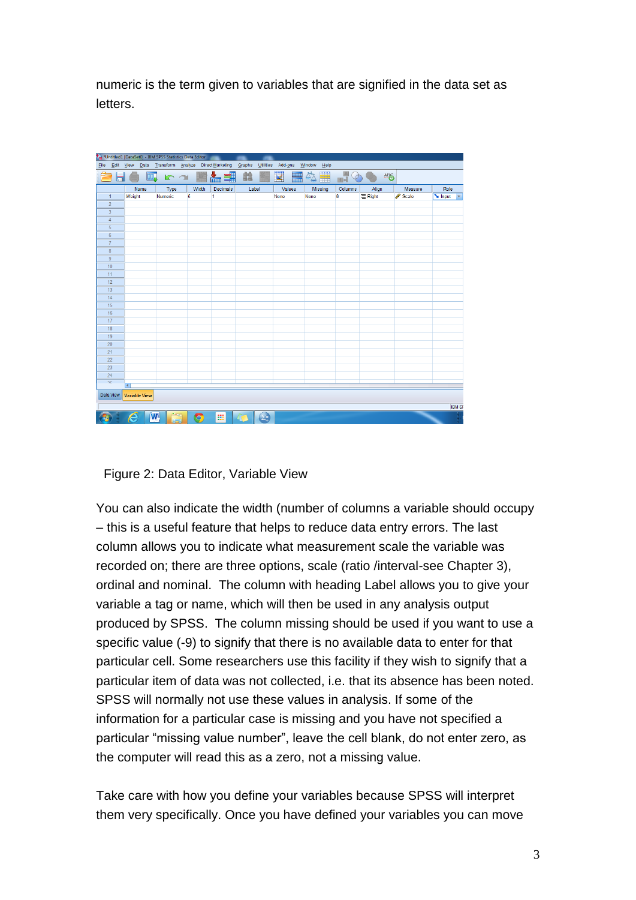numeric is the term given to variables that are signified in the data set as letters.

|            |                |                      |    | *Montitled1 [DataSet0] - IBM SPSS Statistics Data Editor |   |       |                                                        |        |           |         |              |                |            |         |               |
|------------|----------------|----------------------|----|----------------------------------------------------------|---|-------|--------------------------------------------------------|--------|-----------|---------|--------------|----------------|------------|---------|---------------|
|            |                |                      |    |                                                          |   |       | File Edit View Data Transform Analyze Direct Marketing | Graphs | Utilities | Add-ons | Window<br>He |                |            |         |               |
|            |                |                      | m, | <b>K</b> 2                                               |   |       | 雟<br>예                                                 | 韽      |           | K<br>鼺  | ₩            | $\frac{a}{14}$ | <b>446</b> |         |               |
|            |                | Name                 |    | Type                                                     |   | Width | Decimals                                               | Label  |           | Values  | Missing      | Columns        | Align      | Measure | Role          |
|            | $\mathbf{1}$   | Weight               |    | Numeric                                                  | 5 |       | 1                                                      |        |           | None    | None         | 8              | = Right    | Scale   | Input         |
|            | $\overline{2}$ |                      |    |                                                          |   |       |                                                        |        |           |         |              |                |            |         |               |
|            | 3              |                      |    |                                                          |   |       |                                                        |        |           |         |              |                |            |         |               |
|            | $\overline{4}$ |                      |    |                                                          |   |       |                                                        |        |           |         |              |                |            |         |               |
|            | 5              |                      |    |                                                          |   |       |                                                        |        |           |         |              |                |            |         |               |
|            | $\sqrt{6}$     |                      |    |                                                          |   |       |                                                        |        |           |         |              |                |            |         |               |
|            | $\overline{7}$ |                      |    |                                                          |   |       |                                                        |        |           |         |              |                |            |         |               |
|            | $\bf 8$        |                      |    |                                                          |   |       |                                                        |        |           |         |              |                |            |         |               |
|            | $\overline{9}$ |                      |    |                                                          |   |       |                                                        |        |           |         |              |                |            |         |               |
|            | 10             |                      |    |                                                          |   |       |                                                        |        |           |         |              |                |            |         |               |
| 11         |                |                      |    |                                                          |   |       |                                                        |        |           |         |              |                |            |         |               |
| 12         |                |                      |    |                                                          |   |       |                                                        |        |           |         |              |                |            |         |               |
| 13         |                |                      |    |                                                          |   |       |                                                        |        |           |         |              |                |            |         |               |
| 14         |                |                      |    |                                                          |   |       |                                                        |        |           |         |              |                |            |         |               |
| 15         |                |                      |    |                                                          |   |       |                                                        |        |           |         |              |                |            |         |               |
| 16<br>17   |                |                      |    |                                                          |   |       |                                                        |        |           |         |              |                |            |         |               |
| 18         |                |                      |    |                                                          |   |       |                                                        |        |           |         |              |                |            |         |               |
| 19         |                |                      |    |                                                          |   |       |                                                        |        |           |         |              |                |            |         |               |
| 20         |                |                      |    |                                                          |   |       |                                                        |        |           |         |              |                |            |         |               |
| 21         |                |                      |    |                                                          |   |       |                                                        |        |           |         |              |                |            |         |               |
| 22         |                |                      |    |                                                          |   |       |                                                        |        |           |         |              |                |            |         |               |
| 23         |                |                      |    |                                                          |   |       |                                                        |        |           |         |              |                |            |         |               |
| 24         |                |                      |    |                                                          |   |       |                                                        |        |           |         |              |                |            |         |               |
| $^{\circ}$ |                |                      |    |                                                          |   |       |                                                        |        |           |         |              |                |            |         |               |
|            |                | $\overline{4}$       |    |                                                          |   |       |                                                        |        |           |         |              |                |            |         |               |
|            | Data View      | <b>Variable View</b> |    |                                                          |   |       |                                                        |        |           |         |              |                |            |         |               |
|            |                |                      |    |                                                          |   |       |                                                        |        |           |         |              |                |            |         | <b>IBM SF</b> |
|            |                |                      | W  |                                                          |   |       | 羅                                                      |        | Γa        |         |              |                |            |         |               |
|            |                |                      |    |                                                          |   | q     |                                                        |        |           |         |              |                |            |         |               |

#### Figure 2: Data Editor, Variable View

You can also indicate the width (number of columns a variable should occupy – this is a useful feature that helps to reduce data entry errors. The last column allows you to indicate what measurement scale the variable was recorded on; there are three options, scale (ratio /interval-see Chapter 3), ordinal and nominal. The column with heading Label allows you to give your variable a tag or name, which will then be used in any analysis output produced by SPSS. The column missing should be used if you want to use a specific value (-9) to signify that there is no available data to enter for that particular cell. Some researchers use this facility if they wish to signify that a particular item of data was not collected, i.e. that its absence has been noted. SPSS will normally not use these values in analysis. If some of the information for a particular case is missing and you have not specified a particular "missing value number", leave the cell blank, do not enter zero, as the computer will read this as a zero, not a missing value.

Take care with how you define your variables because SPSS will interpret them very specifically. Once you have defined your variables you can move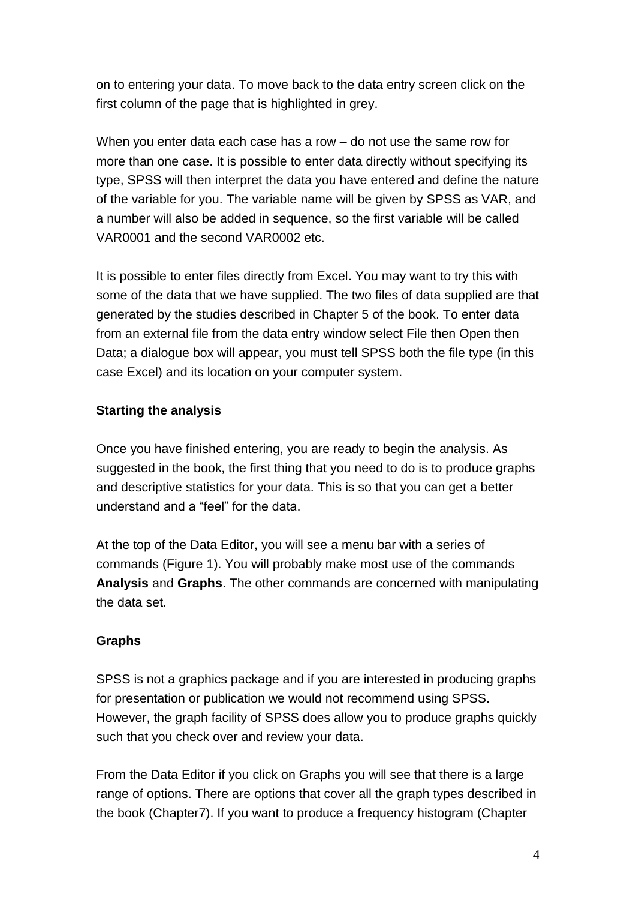on to entering your data. To move back to the data entry screen click on the first column of the page that is highlighted in grey.

When you enter data each case has a row – do not use the same row for more than one case. It is possible to enter data directly without specifying its type, SPSS will then interpret the data you have entered and define the nature of the variable for you. The variable name will be given by SPSS as VAR, and a number will also be added in sequence, so the first variable will be called VAR0001 and the second VAR0002 etc.

It is possible to enter files directly from Excel. You may want to try this with some of the data that we have supplied. The two files of data supplied are that generated by the studies described in Chapter 5 of the book. To enter data from an external file from the data entry window select File then Open then Data; a dialogue box will appear, you must tell SPSS both the file type (in this case Excel) and its location on your computer system.

# **Starting the analysis**

Once you have finished entering, you are ready to begin the analysis. As suggested in the book, the first thing that you need to do is to produce graphs and descriptive statistics for your data. This is so that you can get a better understand and a "feel" for the data.

At the top of the Data Editor, you will see a menu bar with a series of commands (Figure 1). You will probably make most use of the commands **Analysis** and **Graphs**. The other commands are concerned with manipulating the data set.

## <span id="page-3-0"></span>**Graphs**

SPSS is not a graphics package and if you are interested in producing graphs for presentation or publication we would not recommend using SPSS. However, the graph facility of SPSS does allow you to produce graphs quickly such that you check over and review your data.

From the Data Editor if you click on Graphs you will see that there is a large range of options. There are options that cover all the graph types described in the book (Chapter7). If you want to produce a frequency histogram (Chapter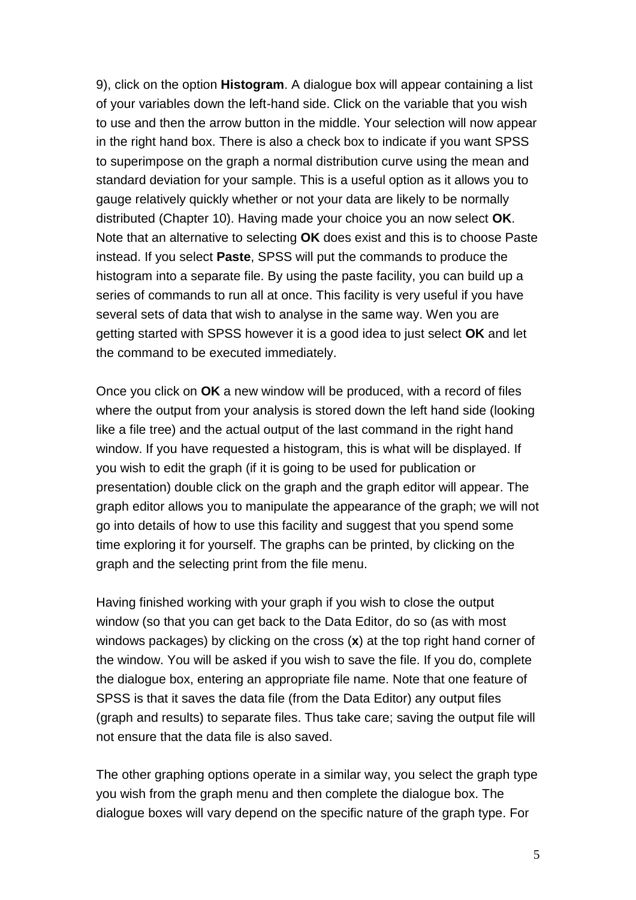9), click on the option **Histogram**. A dialogue box will appear containing a list of your variables down the left-hand side. Click on the variable that you wish to use and then the arrow button in the middle. Your selection will now appear in the right hand box. There is also a check box to indicate if you want SPSS to superimpose on the graph a normal distribution curve using the mean and standard deviation for your sample. This is a useful option as it allows you to gauge relatively quickly whether or not your data are likely to be normally distributed (Chapter 10). Having made your choice you an now select **OK**. Note that an alternative to selecting **OK** does exist and this is to choose Paste instead. If you select **Paste**, SPSS will put the commands to produce the histogram into a separate file. By using the paste facility, you can build up a series of commands to run all at once. This facility is very useful if you have several sets of data that wish to analyse in the same way. Wen you are getting started with SPSS however it is a good idea to just select **OK** and let the command to be executed immediately.

Once you click on **OK** a new window will be produced, with a record of files where the output from your analysis is stored down the left hand side (looking like a file tree) and the actual output of the last command in the right hand window. If you have requested a histogram, this is what will be displayed. If you wish to edit the graph (if it is going to be used for publication or presentation) double click on the graph and the graph editor will appear. The graph editor allows you to manipulate the appearance of the graph; we will not go into details of how to use this facility and suggest that you spend some time exploring it for yourself. The graphs can be printed, by clicking on the graph and the selecting print from the file menu.

Having finished working with your graph if you wish to close the output window (so that you can get back to the Data Editor, do so (as with most windows packages) by clicking on the cross (**x**) at the top right hand corner of the window. You will be asked if you wish to save the file. If you do, complete the dialogue box, entering an appropriate file name. Note that one feature of SPSS is that it saves the data file (from the Data Editor) any output files (graph and results) to separate files. Thus take care; saving the output file will not ensure that the data file is also saved.

The other graphing options operate in a similar way, you select the graph type you wish from the graph menu and then complete the dialogue box. The dialogue boxes will vary depend on the specific nature of the graph type. For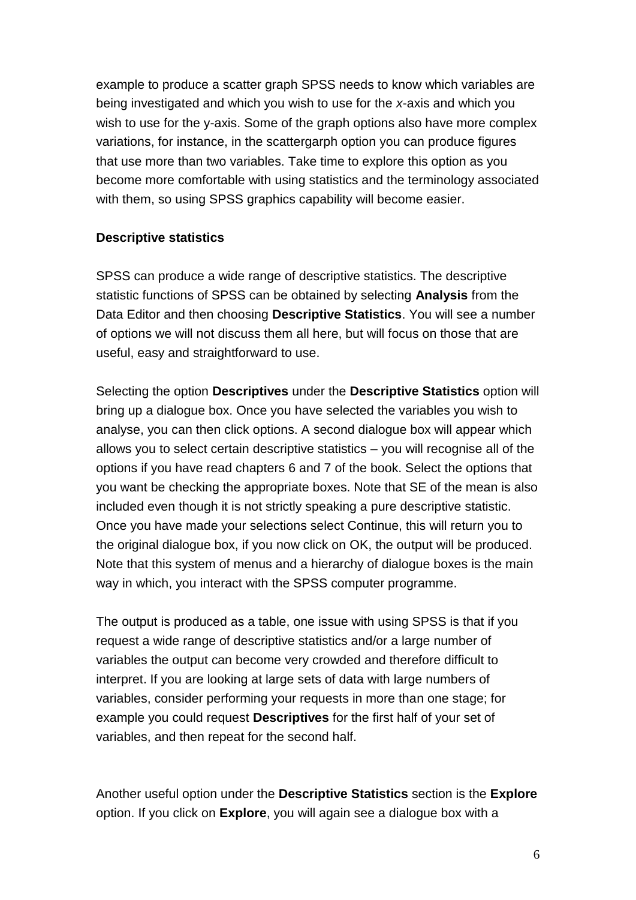example to produce a scatter graph SPSS needs to know which variables are being investigated and which you wish to use for the *x*-axis and which you wish to use for the y-axis. Some of the graph options also have more complex variations, for instance, in the scattergarph option you can produce figures that use more than two variables. Take time to explore this option as you become more comfortable with using statistics and the terminology associated with them, so using SPSS graphics capability will become easier.

## <span id="page-5-0"></span>**Descriptive statistics**

SPSS can produce a wide range of descriptive statistics. The descriptive statistic functions of SPSS can be obtained by selecting **Analysis** from the Data Editor and then choosing **Descriptive Statistics**. You will see a number of options we will not discuss them all here, but will focus on those that are useful, easy and straightforward to use.

Selecting the option **Descriptives** under the **Descriptive Statistics** option will bring up a dialogue box. Once you have selected the variables you wish to analyse, you can then click options. A second dialogue box will appear which allows you to select certain descriptive statistics – you will recognise all of the options if you have read chapters 6 and 7 of the book. Select the options that you want be checking the appropriate boxes. Note that SE of the mean is also included even though it is not strictly speaking a pure descriptive statistic. Once you have made your selections select Continue, this will return you to the original dialogue box, if you now click on OK, the output will be produced. Note that this system of menus and a hierarchy of dialogue boxes is the main way in which, you interact with the SPSS computer programme.

The output is produced as a table, one issue with using SPSS is that if you request a wide range of descriptive statistics and/or a large number of variables the output can become very crowded and therefore difficult to interpret. If you are looking at large sets of data with large numbers of variables, consider performing your requests in more than one stage; for example you could request **Descriptives** for the first half of your set of variables, and then repeat for the second half.

Another useful option under the **Descriptive Statistics** section is the **Explore**  option. If you click on **Explore**, you will again see a dialogue box with a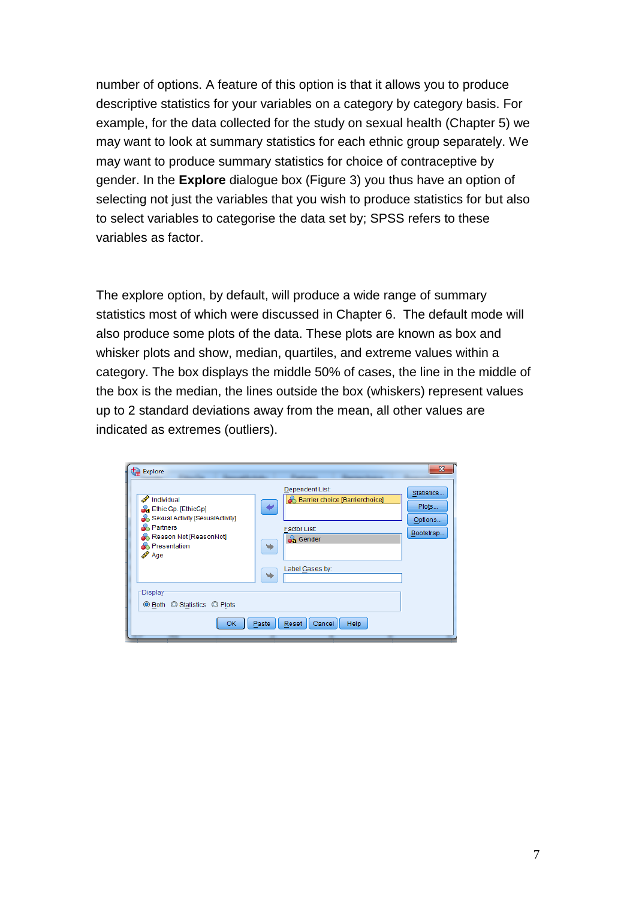number of options. A feature of this option is that it allows you to produce descriptive statistics for your variables on a category by category basis. For example, for the data collected for the study on sexual health (Chapter 5) we may want to look at summary statistics for each ethnic group separately. We may want to produce summary statistics for choice of contraceptive by gender. In the **Explore** dialogue box (Figure 3) you thus have an option of selecting not just the variables that you wish to produce statistics for but also to select variables to categorise the data set by; SPSS refers to these variables as factor.

The explore option, by default, will produce a wide range of summary statistics most of which were discussed in Chapter 6. The default mode will also produce some plots of the data. These plots are known as box and whisker plots and show, median, quartiles, and extreme values within a category. The box displays the middle 50% of cases, the line in the middle of the box is the median, the lines outside the box (whiskers) represent values up to 2 standard deviations away from the mean, all other values are indicated as extremes (outliers).

| $t_{\rm m}$ Explore<br>Individual<br><b>Ch</b> Ethic Gp. [EthicGp]<br>Sexual Activity [SexualActivity]<br><b>A</b> Partners<br>Reason Not [ReasonNot]<br><b>Resentation</b><br>Age<br><b>Display</b><br>◉ Both © Statistics © Plots | $\mathbf{x}$<br>Dependent List:<br>Statistics<br><b>Barrier choice [Barrierchoice]</b><br>Plots<br>Options<br><b>Factor List:</b><br>Bootstrap<br><b>S</b> Gender<br>٠<br>Label Cases by: |
|-------------------------------------------------------------------------------------------------------------------------------------------------------------------------------------------------------------------------------------|-------------------------------------------------------------------------------------------------------------------------------------------------------------------------------------------|
| 0K                                                                                                                                                                                                                                  | Help<br>Paste<br>Reset<br>Cancel                                                                                                                                                          |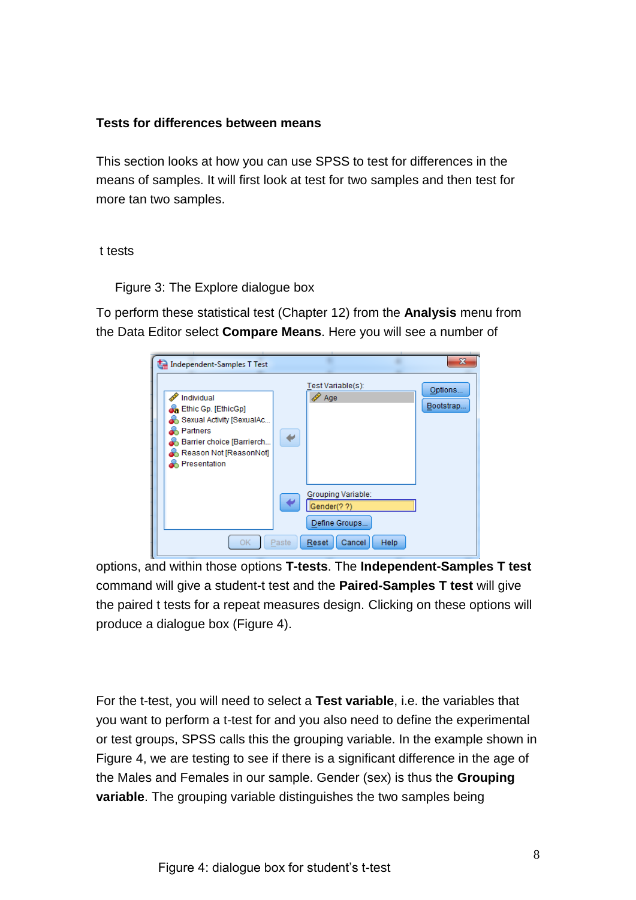### <span id="page-7-0"></span>**Tests for differences between means**

This section looks at how you can use SPSS to test for differences in the means of samples. It will first look at test for two samples and then test for more tan two samples.

#### t tests

Figure 3: The Explore dialogue box

To perform these statistical test (Chapter 12) from the **Analysis** menu from the Data Editor select **Compare Means**. Here you will see a number of

| Independent-Samples T Test                                                                                                                                 | $\mathbf{x}$                                                                          |
|------------------------------------------------------------------------------------------------------------------------------------------------------------|---------------------------------------------------------------------------------------|
| Individual<br><b>B</b> Ethic Gp. [EthicGp]<br>Sexual Activity [SexualAc<br>Partners<br>Barrier choice [Barrierch<br>Reason Not [ReasonNot]<br>Presentation | Test Variable(s):<br>Options<br>Age<br>Bootstrap                                      |
| OK.                                                                                                                                                        | Grouping Variable:<br>Gender(??)<br>Define Groups<br>Paste<br>Reset<br>Help<br>Cancel |

options, and within those options **T-tests**. The **Independent-Samples T test** command will give a student-t test and the **Paired-Samples T test** will give the paired t tests for a repeat measures design. Clicking on these options will produce a dialogue box (Figure 4).

For the t-test, you will need to select a **Test variable**, i.e. the variables that you want to perform a t-test for and you also need to define the experimental or test groups, SPSS calls this the grouping variable. In the example shown in Figure 4, we are testing to see if there is a significant difference in the age of the Males and Females in our sample. Gender (sex) is thus the **Grouping variable**. The grouping variable distinguishes the two samples being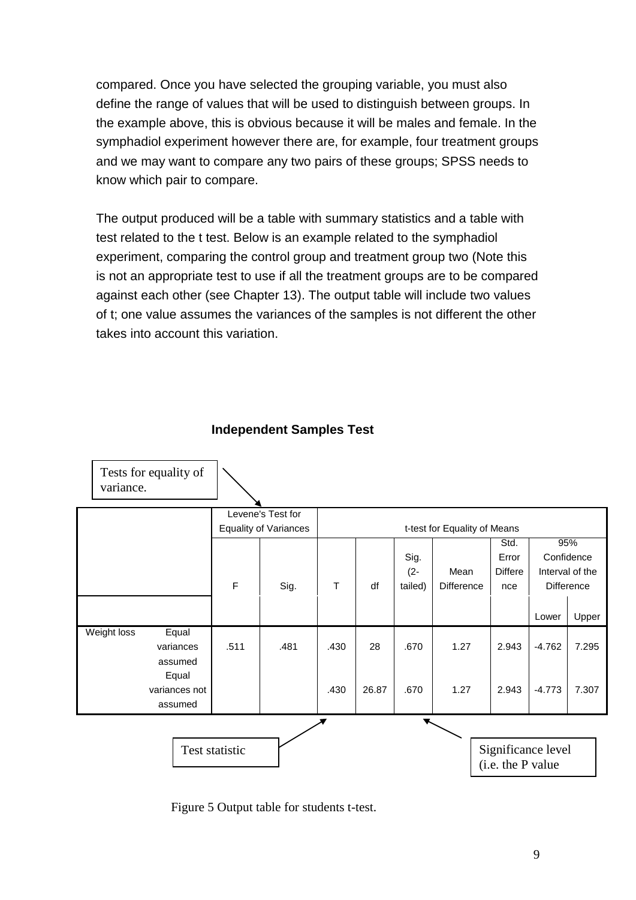compared. Once you have selected the grouping variable, you must also define the range of values that will be used to distinguish between groups. In the example above, this is obvious because it will be males and female. In the symphadiol experiment however there are, for example, four treatment groups and we may want to compare any two pairs of these groups; SPSS needs to know which pair to compare.

The output produced will be a table with summary statistics and a table with test related to the t test. Below is an example related to the symphadiol experiment, comparing the control group and treatment group two (Note this is not an appropriate test to use if all the treatment groups are to be compared against each other (see Chapter 13). The output table will include two values of t; one value assumes the variances of the samples is not different the other takes into account this variation.



#### **Independent Samples Test**

Figure 5 Output table for students t-test.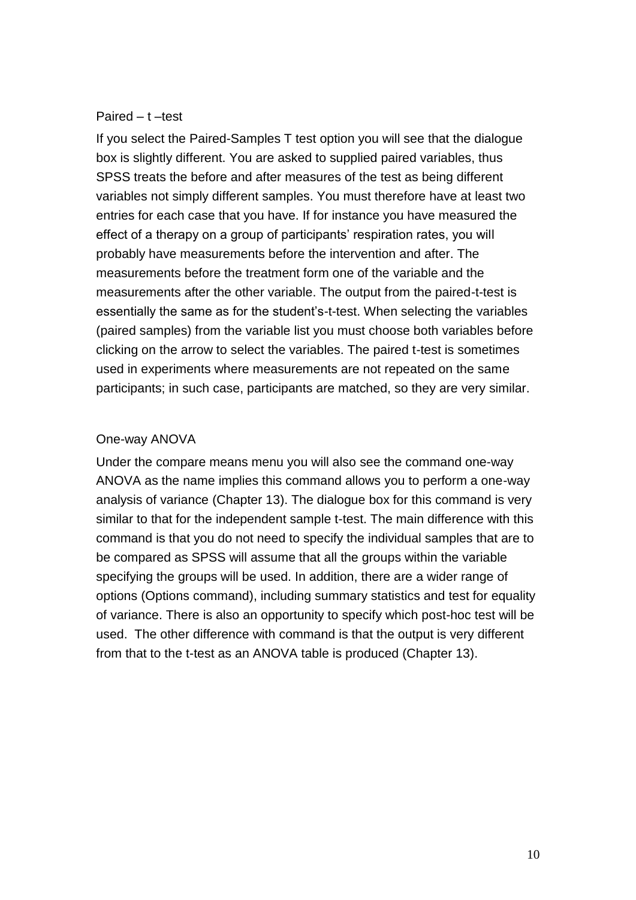#### <span id="page-9-0"></span>Paired – t –test

If you select the Paired-Samples T test option you will see that the dialogue box is slightly different. You are asked to supplied paired variables, thus SPSS treats the before and after measures of the test as being different variables not simply different samples. You must therefore have at least two entries for each case that you have. If for instance you have measured the effect of a therapy on a group of participants' respiration rates, you will probably have measurements before the intervention and after. The measurements before the treatment form one of the variable and the measurements after the other variable. The output from the paired-t-test is essentially the same as for the student's-t-test. When selecting the variables (paired samples) from the variable list you must choose both variables before clicking on the arrow to select the variables. The paired t-test is sometimes used in experiments where measurements are not repeated on the same participants; in such case, participants are matched, so they are very similar.

#### One-way ANOVA

Under the compare means menu you will also see the command one-way ANOVA as the name implies this command allows you to perform a one-way analysis of variance (Chapter 13). The dialogue box for this command is very similar to that for the independent sample t-test. The main difference with this command is that you do not need to specify the individual samples that are to be compared as SPSS will assume that all the groups within the variable specifying the groups will be used. In addition, there are a wider range of options (Options command), including summary statistics and test for equality of variance. There is also an opportunity to specify which post-hoc test will be used. The other difference with command is that the output is very different from that to the t-test as an ANOVA table is produced (Chapter 13).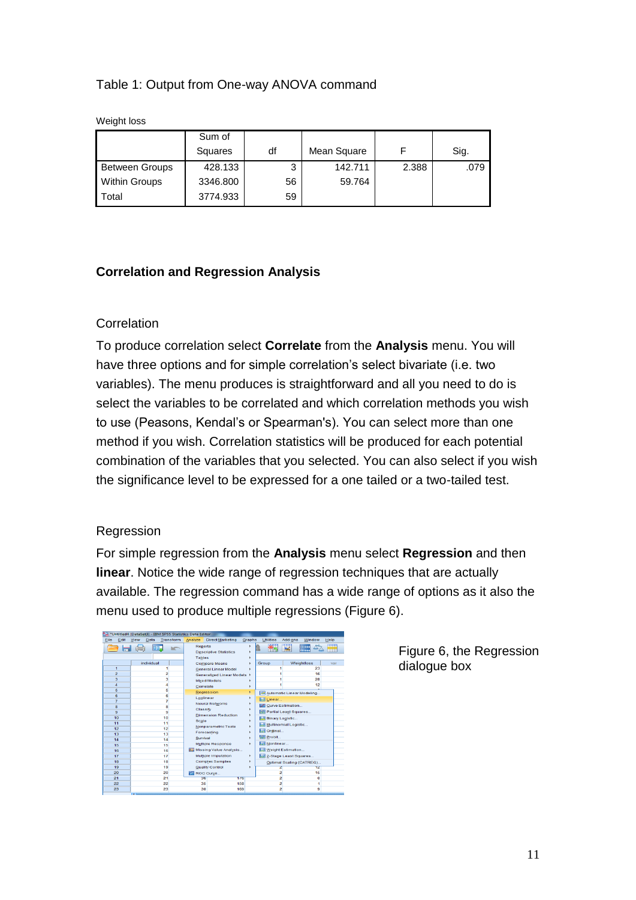## Table 1: Output from One-way ANOVA command

Weight loss

|                       | Sum of   |    |             |       |      |
|-----------------------|----------|----|-------------|-------|------|
|                       | Squares  | df | Mean Square |       | Sig. |
| <b>Between Groups</b> | 428.133  | 3  | 142.711     | 2.388 | .079 |
| <b>Within Groups</b>  | 3346.800 | 56 | 59.764      |       |      |
| Total                 | 3774.933 | 59 |             |       |      |

### <span id="page-10-0"></span>**Correlation and Regression Analysis**

#### **Correlation**

To produce correlation select **Correlate** from the **Analysis** menu. You will have three options and for simple correlation's select bivariate (i.e. two variables). The menu produces is straightforward and all you need to do is select the variables to be correlated and which correlation methods you wish to use (Peasons, Kendal's or Spearman's). You can select more than one method if you wish. Correlation statistics will be produced for each potential combination of the variables that you selected. You can also select if you wish the significance level to be expressed for a one tailed or a two-tailed test.

#### Regression

For simple regression from the **Analysis** menu select **Regression** and then **linear**. Notice the wide range of regression techniques that are actually available. The regression command has a wide range of options as it also the menu used to produce multiple regressions (Figure 6).

| than |                |      |            | *Untitled4 [DataSet3] - IBM SPSS Statistics Data Editor |                                 |                                  |        |                                   |                       |                           |      |
|------|----------------|------|------------|---------------------------------------------------------|---------------------------------|----------------------------------|--------|-----------------------------------|-----------------------|---------------------------|------|
| File | Edit           | View | Data       | Transform                                               | Analyze                         | <b>Direct Marketing</b>          | Graphs | <b>Utilities</b>                  | Add-ons               | Window                    | Help |
|      |                | не   | <b>DD</b>  | <b>INCT</b>                                             | <b>Reports</b><br><b>Tables</b> | <b>Descriptive Statistics</b>    |        | $\mathbf{x}_n$                    |                       | imu<br><b>TESTING</b>     | 嗮    |
|      |                |      | individual |                                                         |                                 | <b>Compare Means</b>             |        | Group                             |                       | Weightloss                | var  |
|      | 1              |      |            |                                                         |                                 | <b>General Linear Model</b>      |        |                                   |                       | 23                        |      |
|      | $\overline{2}$ |      |            | 2                                                       |                                 | Generalized Linear Models F      |        |                                   |                       | 16                        |      |
|      | 3              |      |            | 3                                                       |                                 | <b>Mixed Models</b>              |        |                                   |                       | 28                        |      |
|      | $\overline{a}$ |      |            | 4                                                       |                                 | Correlate                        |        |                                   |                       | 12                        |      |
|      | 5              |      |            | 5                                                       |                                 | Regression                       | b.     | ہے ا                              |                       | Automatic Linear Modeling |      |
|      | 6              |      |            | 6                                                       |                                 | Loglinear                        |        | <b>Mr Linear</b>                  |                       |                           |      |
|      | 7              |      |            | 7                                                       |                                 | <b>Neural Networks</b>           |        | v                                 | Curve Estimation      |                           |      |
|      | 8              |      |            | 8                                                       | Classify                        |                                  |        | 麻                                 | Partial Least Squares |                           |      |
|      | 9<br>10        |      |            | 9<br>10                                                 |                                 | <b>Dimension Reduction</b>       |        |                                   |                       |                           |      |
|      | 11             |      |            | 11                                                      | Scale                           |                                  |        |                                   | Binary Logistic       |                           |      |
|      | 12             |      |            | 12                                                      |                                 | <b>Nonparametric Tests</b>       |        | Б.                                | Multinomial Logistic  |                           |      |
|      | 13             |      |            | 13                                                      |                                 | Forecasting                      |        | RК<br>Ordinal                     |                       |                           |      |
|      | 14             |      |            | 14                                                      | Survival                        |                                  |        | 驅<br>Probit                       |                       |                           |      |
|      | 15             |      |            | 15                                                      |                                 | <b>Multiple Response</b>         | ٠      | Nonlinear                         |                       |                           |      |
|      | 16             |      |            | 16                                                      |                                 | <b>EZ Missing Value Analysis</b> |        | <b>Weight Estimation</b>          |                       |                           |      |
|      | 17             |      |            | 17                                                      |                                 | <b>Multiple Imputation</b>       | ٠      | <b>Mill 2-Stage Least Squares</b> |                       |                           |      |
|      | 18             |      |            | 18                                                      |                                 | <b>Complex Samples</b>           |        |                                   |                       | Optimal Scaling (CATREG)  |      |
|      | 19             |      |            | 19                                                      |                                 | <b>Quality Control</b>           |        | z                                 |                       | 12                        |      |
|      | 20             |      |            | 20                                                      |                                 | ROC Curve                        |        | $\overline{2}$                    |                       | 15                        |      |
|      | 21             |      |            | 21                                                      | 36                              |                                  | 176    | $\overline{a}$                    |                       | $\bf{0}$                  |      |
|      | 22             |      |            | 22                                                      | 35                              |                                  | 158    | 2                                 |                       | 1                         |      |
|      | 23             |      |            | 23                                                      | 30                              |                                  | 169    | $\overline{a}$                    |                       | 9                         |      |
|      |                | $-1$ |            |                                                         |                                 |                                  |        |                                   |                       |                           |      |

Figure 6, the Regression dialogue box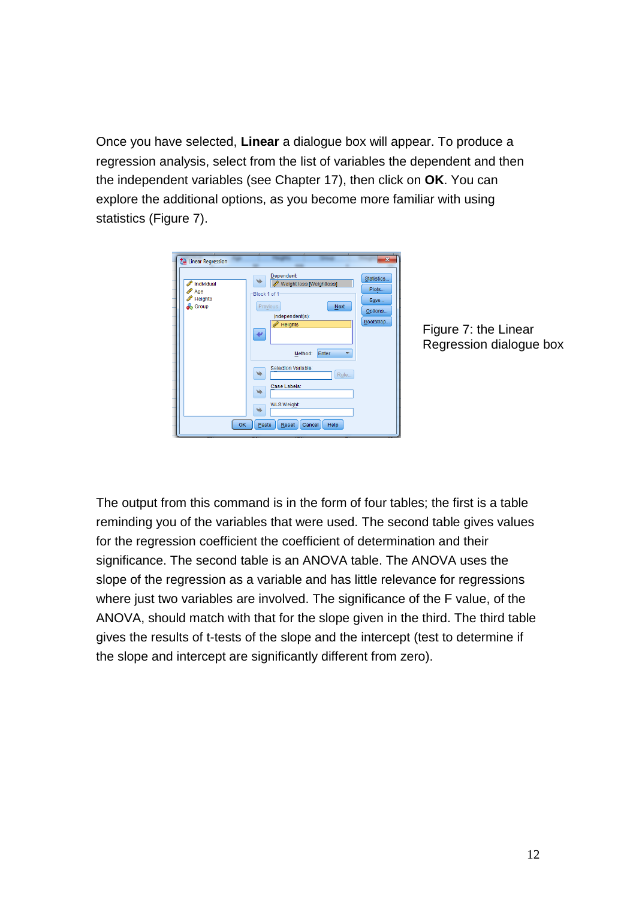Once you have selected, **Linear** a dialogue box will appear. To produce a regression analysis, select from the list of variables the dependent and then the independent variables (see Chapter 17), then click on **OK**. You can explore the additional options, as you become more familiar with using statistics (Figure 7).



Figure 7: the Linear Regression dialogue box

The output from this command is in the form of four tables; the first is a table reminding you of the variables that were used. The second table gives values for the regression coefficient the coefficient of determination and their significance. The second table is an ANOVA table. The ANOVA uses the slope of the regression as a variable and has little relevance for regressions where just two variables are involved. The significance of the F value, of the ANOVA, should match with that for the slope given in the third. The third table gives the results of t-tests of the slope and the intercept (test to determine if the slope and intercept are significantly different from zero).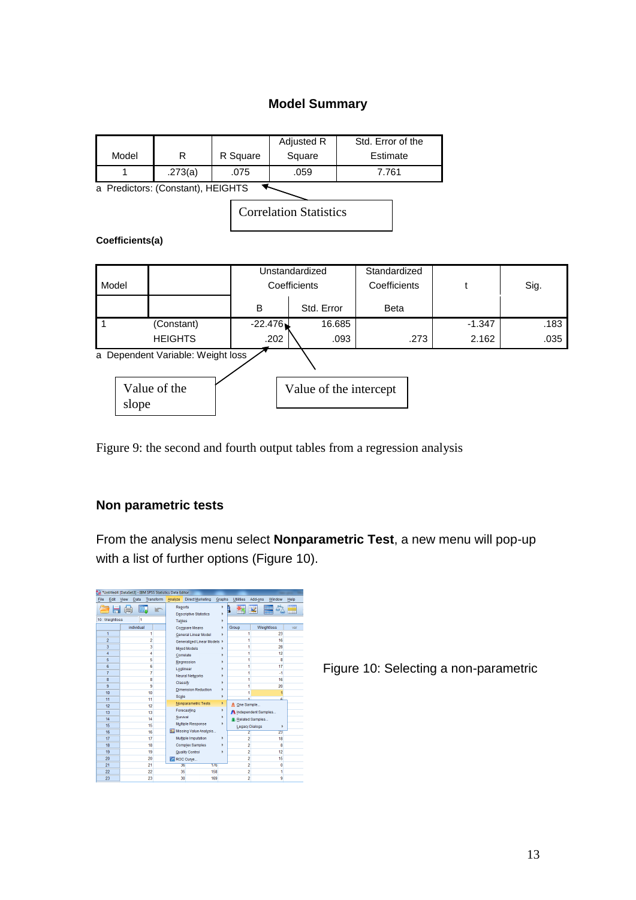# **Model Summary**

| Model                         | R                                 | R Square | Adjusted R<br>Square | Std. Error of the<br>Estimate |  |  |  |  |  |
|-------------------------------|-----------------------------------|----------|----------------------|-------------------------------|--|--|--|--|--|
|                               | .273(a)                           | .075     | .059                 | 7.761                         |  |  |  |  |  |
|                               | a Predictors: (Constant), HEIGHTS |          |                      |                               |  |  |  |  |  |
| <b>Correlation Statistics</b> |                                   |          |                      |                               |  |  |  |  |  |
| Coefficients(a)               |                                   |          |                      |                               |  |  |  |  |  |
|                               |                                   |          | Unstandardized       | Standardized                  |  |  |  |  |  |

| Model                 |                                   |           | unstanuaruizeu<br>Coefficients | <b>Sidriualuizeu</b><br>Coefficients | ÷        | Sig. |
|-----------------------|-----------------------------------|-----------|--------------------------------|--------------------------------------|----------|------|
|                       |                                   | B         | Std. Error                     | <b>Beta</b>                          |          |      |
|                       | (Constant)                        | $-22.476$ | 16.685                         |                                      | $-1.347$ | .183 |
|                       | <b>HEIGHTS</b>                    | .202      | .093                           | .273                                 | 2.162    | .035 |
|                       | a Dependent Variable: Weight loss |           |                                |                                      |          |      |
| Value of the<br>slope |                                   |           | Value of the intercept         |                                      |          |      |

Figure 9: the second and fourth output tables from a regression analysis

## <span id="page-12-0"></span>**Non parametric tests**

From the analysis menu select **Nonparametric Test**, a new menu will pop-up with a list of further options (Figure 10).

| *Untitled4 [DataSet3] - IBM SPSS Statistics Data Editor |      |            |                |               |                               |        |                     |                       |                  |      |
|---------------------------------------------------------|------|------------|----------------|---------------|-------------------------------|--------|---------------------|-----------------------|------------------|------|
| File<br>Edit                                            | View | Data       | Transform      | Analyze       | <b>Direct Marketing</b>       | Graphs | <b>Utilities</b>    | Add-ons               | Window           | Help |
|                                                         |      | h۵.        | <b>IC</b>      | Reports       | <b>Descriptive Statistics</b> |        | þ                   |                       | HHH<br>m         | ₩    |
| 10: Weightloss                                          |      | 1          |                | <b>Tables</b> |                               |        |                     |                       |                  |      |
|                                                         |      | individual |                |               | <b>Compare Means</b>          | ٠      | Group               |                       | Weightloss       | var  |
| 1                                                       |      |            | 1              |               | <b>General Linear Model</b>   | ٠      | 1                   |                       | 23               |      |
| $\overline{2}$                                          |      |            | $\overline{2}$ |               | Generalized Linear Models >   |        | ł                   |                       | 16               |      |
| 3                                                       |      |            | 3              |               | <b>Mixed Models</b>           |        | 1                   |                       | 28               |      |
| 4                                                       |      |            | 4              |               | Correlate                     |        | 1                   |                       | 12 <sup>12</sup> |      |
| 5                                                       |      |            | 5              |               | Regression                    |        | 1                   |                       | 8                |      |
| 6                                                       |      |            | 6              |               | Loglinear                     |        | 1                   |                       | 17               |      |
| 7                                                       |      |            | 7              |               | <b>Neural Networks</b>        |        | 1                   |                       | 4                |      |
| 8                                                       |      |            | 8              | Classify      |                               |        | 1                   |                       | 16               |      |
| 9                                                       |      |            | 9              |               | <b>Dimension Reduction</b>    |        | 1                   |                       | 20               |      |
| 10                                                      |      |            | 10             | Scale         |                               | ۰      | 1                   |                       | 1                |      |
| 11                                                      |      |            | 11             |               | Nonparametric Tests           | r      | ۸<br>One Sample     |                       | ċ                |      |
| 12                                                      |      |            | 12             |               | Forecasting                   | ь      |                     |                       |                  |      |
| 13                                                      |      |            | 13             | Survival      |                               |        | Independent Samples |                       |                  |      |
| 14                                                      |      |            | 14             |               | <b>Multiple Response</b>      |        | Related Samples     |                       |                  |      |
| 15                                                      |      |            | 15             |               | Missing Value Analysis        |        |                     | <b>Legacy Dialogs</b> | ٠                |      |
| 16                                                      |      |            | 16             |               |                               |        | 2                   |                       | 23               |      |
| 17                                                      |      |            | 17             |               | Multiple Imputation           |        | $\overline{c}$      |                       | 18               |      |
| 18                                                      |      |            | 18             |               | <b>Complex Samples</b>        |        | $\overline{2}$      |                       | 8                |      |
| 19                                                      |      |            | 19             |               | <b>Quality Control</b>        |        | $\overline{a}$      |                       | 12               |      |
| 20                                                      |      |            | 20             |               | ROC Curve                     |        | $\overline{c}$      |                       | 15               |      |
| 21                                                      |      |            | 21             |               | 36                            | 176    | $\overline{a}$      |                       | 0                |      |
| 22                                                      |      |            | 22             |               | 35                            | 158    | $\overline{a}$      |                       | ł                |      |
| 23                                                      |      |            | 23             |               | 30                            | 169    | $\overline{c}$      |                       | 9                |      |

Figure 10: Selecting a non-parametric

٦

 $\top$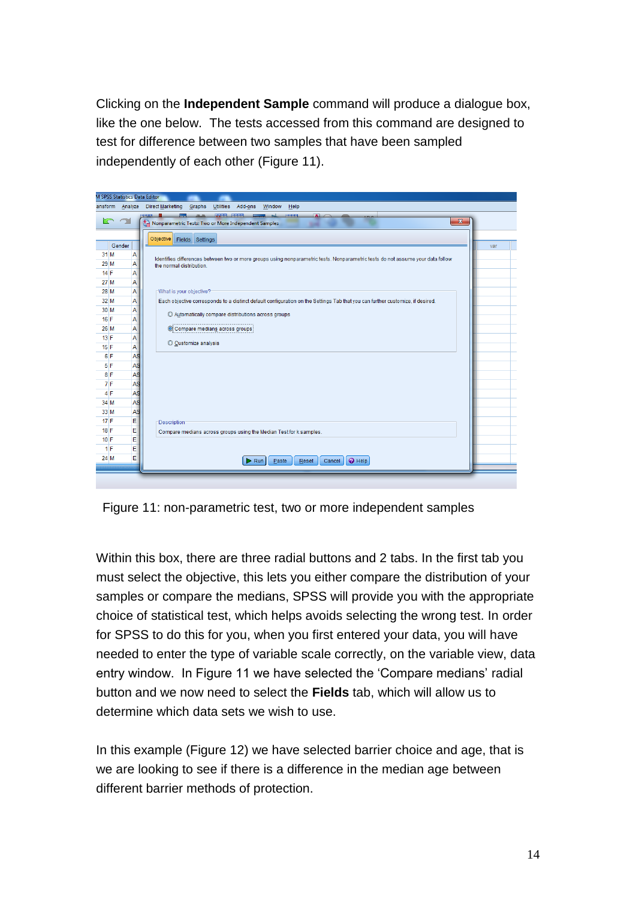Clicking on the **Independent Sample** command will produce a dialogue box, like the one below. The tests accessed from this command are designed to test for difference between two samples that have been sampled independently of each other (Figure 11).



Figure 11: non-parametric test, two or more independent samples

Within this box, there are three radial buttons and 2 tabs. In the first tab you must select the objective, this lets you either compare the distribution of your samples or compare the medians, SPSS will provide you with the appropriate choice of statistical test, which helps avoids selecting the wrong test. In order for SPSS to do this for you, when you first entered your data, you will have needed to enter the type of variable scale correctly, on the variable view, data entry window. In Figure 11 we have selected the 'Compare medians' radial button and we now need to select the **Fields** tab, which will allow us to determine which data sets we wish to use.

In this example (Figure 12) we have selected barrier choice and age, that is we are looking to see if there is a difference in the median age between different barrier methods of protection.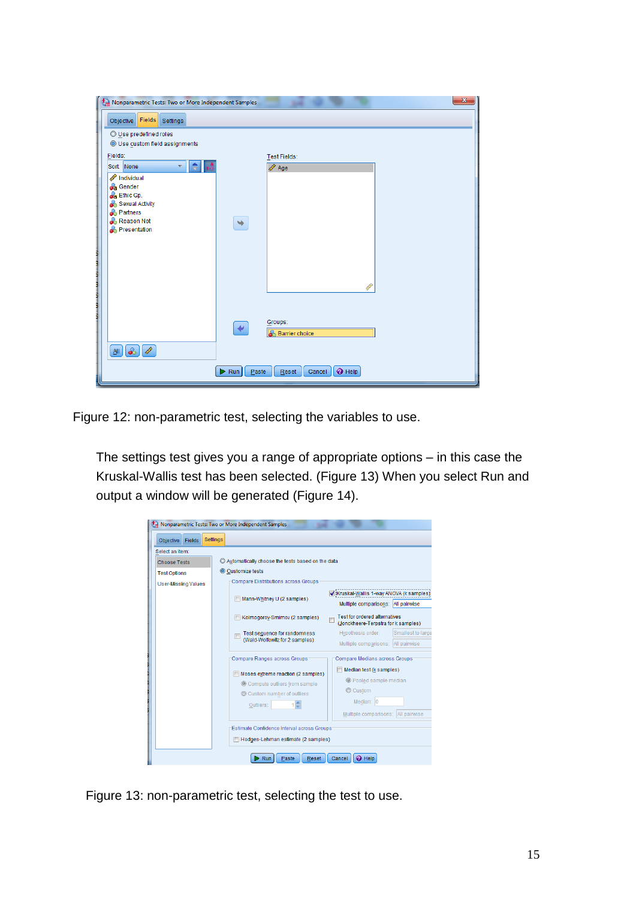| G<br>Nonparametric Tests: Two or More Independent Samples                                                                                                                                                                      |                                                                    | $\mathbf{x}$ |
|--------------------------------------------------------------------------------------------------------------------------------------------------------------------------------------------------------------------------------|--------------------------------------------------------------------|--------------|
| <b>Fields</b><br>Settings<br>Objective                                                                                                                                                                                         |                                                                    |              |
| O Use predefined roles<br>O Use custom field assignments                                                                                                                                                                       |                                                                    |              |
| Fields:                                                                                                                                                                                                                        | Test Fields:                                                       |              |
| Sort: None<br>÷<br>v.                                                                                                                                                                                                          | $\sqrt{2}$ Age                                                     |              |
| Individual<br><b>C</b> ender                                                                                                                                                                                                   |                                                                    |              |
| <b>Ch</b> Ethic Gp.<br>Sexual Activity                                                                                                                                                                                         |                                                                    |              |
| <b>A</b> Partners<br>Reason Not                                                                                                                                                                                                | ٠                                                                  |              |
| <b>B</b> Presentation                                                                                                                                                                                                          |                                                                    |              |
| ļ                                                                                                                                                                                                                              |                                                                    |              |
| ling and the control of the control of the control of the control of the control of the control of the control of the control of the control of the control of the control of the control of the control of the control of the |                                                                    |              |
|                                                                                                                                                                                                                                |                                                                    |              |
|                                                                                                                                                                                                                                |                                                                    |              |
|                                                                                                                                                                                                                                |                                                                    |              |
|                                                                                                                                                                                                                                | Groups:<br>$\blacklozenge$<br><b>Barrier</b> choice                |              |
| $\delta$<br>I<br>$\underline{\mathsf{All}}$                                                                                                                                                                                    |                                                                    |              |
|                                                                                                                                                                                                                                |                                                                    |              |
|                                                                                                                                                                                                                                | $\bullet$ Help<br>$\triangleright$ Run<br>Paste<br>Reset<br>Cancel |              |

Figure 12: non-parametric test, selecting the variables to use.

The settings test gives you a range of appropriate options – in this case the Kruskal-Wallis test has been selected. (Figure 13) When you select Run and output a window will be generated (Figure 14).

|                            | Nonparametric Tests: Two or More Independent Samples                                                                                                                                                                                  |
|----------------------------|---------------------------------------------------------------------------------------------------------------------------------------------------------------------------------------------------------------------------------------|
| <b>Objective</b><br>Fields | <b>Settings</b>                                                                                                                                                                                                                       |
| Select an item:            |                                                                                                                                                                                                                                       |
| <b>Choose Tests</b>        | C Automatically choose the tests based on the data                                                                                                                                                                                    |
| <b>Test Options</b>        | Customize tests                                                                                                                                                                                                                       |
| <b>User-Missing Values</b> | <b>Compare Distributions across Groups</b>                                                                                                                                                                                            |
|                            | Kruskal-Wallis 1-way ANOVA (k samples)<br>Mann-Whitney U (2 samples)                                                                                                                                                                  |
|                            | Multiple comparisons: All pairwise                                                                                                                                                                                                    |
|                            | <b>Test for ordered alternatives</b><br>Kolmogorov-Smimov (2 samples)<br>(Jonckheere-Terpstra for k samples)                                                                                                                          |
|                            | Smallest to large<br>Hypothesis order:<br>Test sequence for randomness                                                                                                                                                                |
|                            | (Wald-Wolfowitz for 2 samples)<br>Multiple comparisons: All pairwise                                                                                                                                                                  |
|                            | Compare Medians across Groups<br>Compare Ranges across Groups:                                                                                                                                                                        |
|                            | Median test (k samples)<br>Moses extreme reaction (2 samples)<br>C Pooled sample median<br>© Compute outliers from sample<br>© Custom<br>Custom number of outliers<br>Median: 0<br>Outliers:<br>All pairwise<br>Multiple comparisons: |
|                            | Estimate Confidence Interval across Groups:                                                                                                                                                                                           |
|                            | Hodges-Lehman estimate (2 samples)                                                                                                                                                                                                    |
|                            | <b>O</b> Help<br>Paste<br>Reset<br>Cancel<br>Run                                                                                                                                                                                      |

Figure 13: non-parametric test, selecting the test to use.